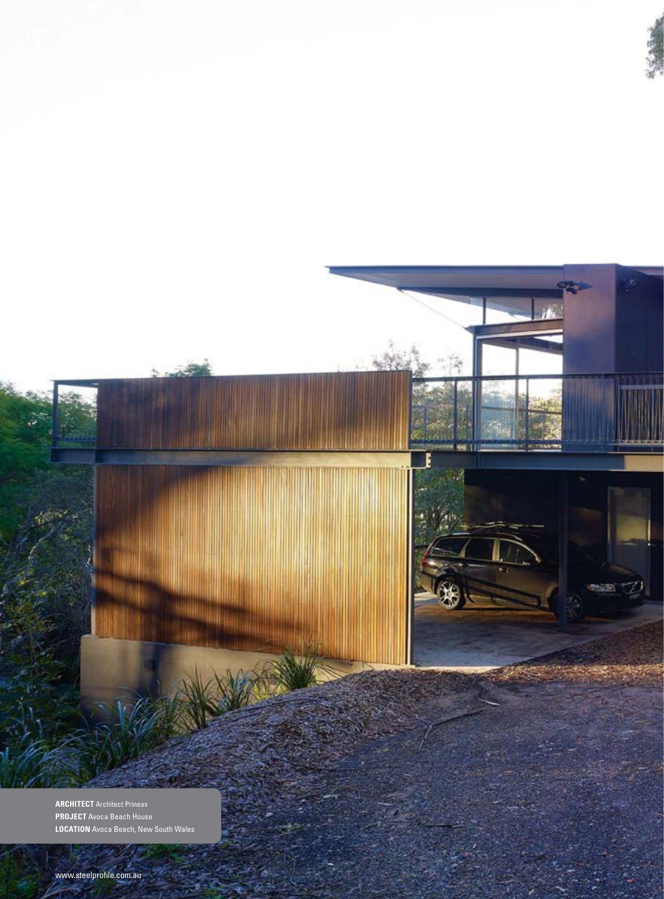

F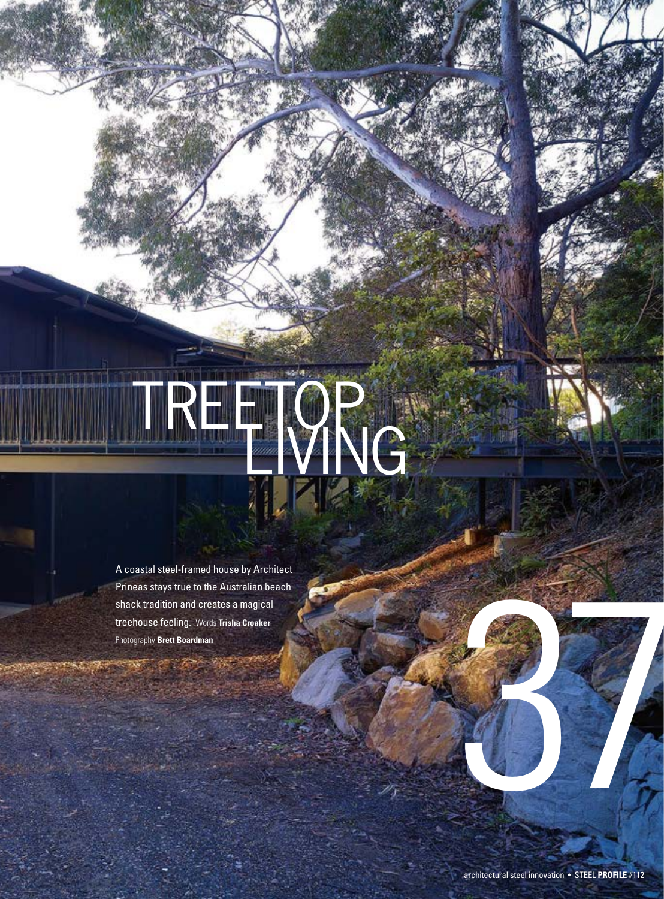## TRO VNG

A coastal steel-framed house by Architect Prineas stays true to the Australian beach shack tradition and creates a magical treehouse feeling.Words **Trisha Croaker** Photography **Brett Boardman**

37 PASSAGE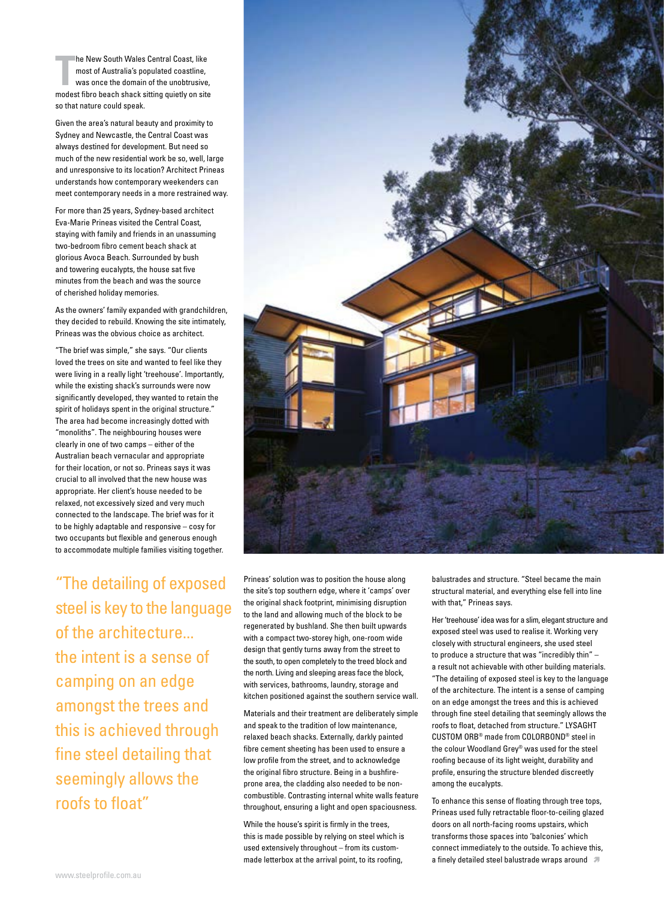**The New South Wales Central Coast, like**<br>
most of Australia's populated coastline,<br>
was once the domain of the unobtrusive,<br>
modest fibro beach shack sitting quietly on site he New South Wales Central Coast, like most of Australia's populated coastline, was once the domain of the unobtrusive, so that nature could speak.

Given the area's natural beauty and proximity to Sydney and Newcastle, the Central Coast was always destined for development. But need so much of the new residential work be so, well, large and unresponsive to its location? Architect Prineas understands how contemporary weekenders can meet contemporary needs in a more restrained way.

For more than 25 years, Sydney-based architect Eva-Marie Prineas visited the Central Coast, staying with family and friends in an unassuming two-bedroom fibro cement beach shack at glorious Avoca Beach. Surrounded by bush and towering eucalypts, the house sat five minutes from the beach and was the source of cherished holiday memories.

As the owners' family expanded with grandchildren, they decided to rebuild. Knowing the site intimately, Prineas was the obvious choice as architect.

"The brief was simple," she says. "Our clients loved the trees on site and wanted to feel like they were living in a really light 'treehouse'. Importantly, while the existing shack's surrounds were now significantly developed, they wanted to retain the spirit of holidays spent in the original structure." The area had become increasingly dotted with "monoliths". The neighbouring houses were clearly in one of two camps – either of the Australian beach vernacular and appropriate for their location, or not so. Prineas says it was crucial to all involved that the new house was appropriate. Her client's house needed to be relaxed, not excessively sized and very much connected to the landscape. The brief was for it to be highly adaptable and responsive – cosy for two occupants but flexible and generous enough to accommodate multiple families visiting together.

"The detailing of exposed steel is key to the language of the architecture... the intent is a sense of camping on an edge amongst the trees and this is achieved through fine steel detailing that seemingly allows the roofs to float"



Prineas' solution was to position the house along the site's top southern edge, where it 'camps' over the original shack footprint, minimising disruption to the land and allowing much of the block to be regenerated by bushland. She then built upwards with a compact two-storey high, one-room wide design that gently turns away from the street to the south, to open completely to the treed block and the north. Living and sleeping areas face the block, with services, bathrooms, laundry, storage and kitchen positioned against the southern service wall.

Materials and their treatment are deliberately simple and speak to the tradition of low maintenance, relaxed beach shacks. Externally, darkly painted fibre cement sheeting has been used to ensure a low profile from the street, and to acknowledge the original fibro structure. Being in a bushfireprone area, the cladding also needed to be noncombustible. Contrasting internal white walls feature throughout, ensuring a light and open spaciousness.

While the house's spirit is firmly in the trees, this is made possible by relying on steel which is used extensively throughout – from its custommade letterbox at the arrival point, to its roofing,

balustrades and structure. "Steel became the main structural material, and everything else fell into line with that," Prineas says.

Her 'treehouse' idea was for a slim, elegant structure and exposed steel was used to realise it. Working very closely with structural engineers, she used steel to produce a structure that was "incredibly thin" – a result not achievable with other building materials. "The detailing of exposed steel is key to the language of the architecture. The intent is a sense of camping on an edge amongst the trees and this is achieved through fine steel detailing that seemingly allows the roofs to float, detached from structure." LYSAGHT CUSTOM ORB® made from COLORBOND® steel in the colour Woodland Grey® was used for the steel roofing because of its light weight, durability and profile, ensuring the structure blended discreetly among the eucalypts.

To enhance this sense of floating through tree tops, Prineas used fully retractable floor-to-ceiling glazed doors on all north-facing rooms upstairs, which transforms those spaces into 'balconies' which connect immediately to the outside. To achieve this, a finely detailed steel balustrade wraps around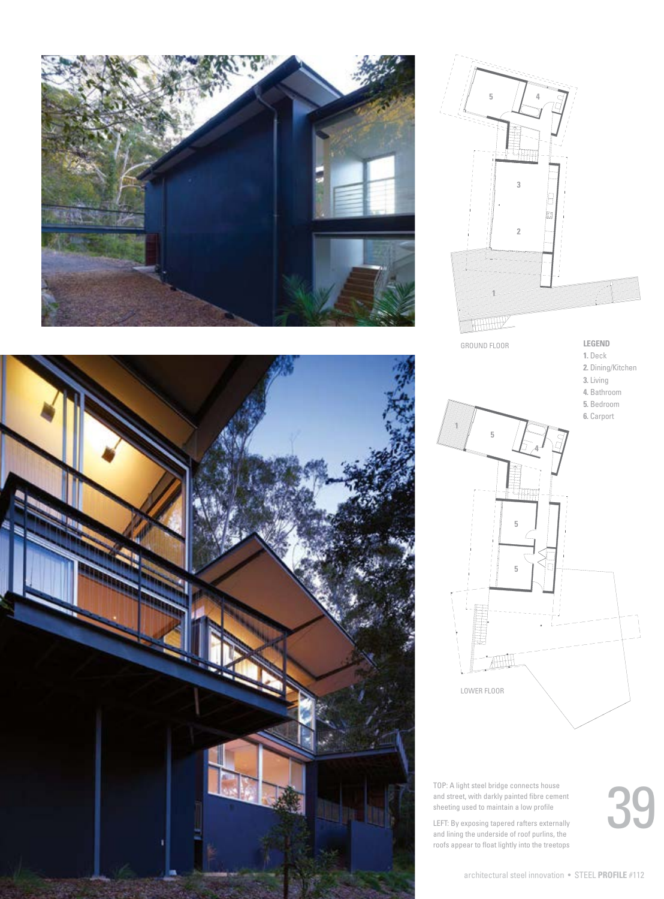







TOP: A light steel bridge connects house and street, with darkly painted fibre cement sheeting used to maintain a low profile

LEFT: By exposing tapered rafters externally and lining the underside of roof purlins, the roofs appear to float lightly into the treetops 39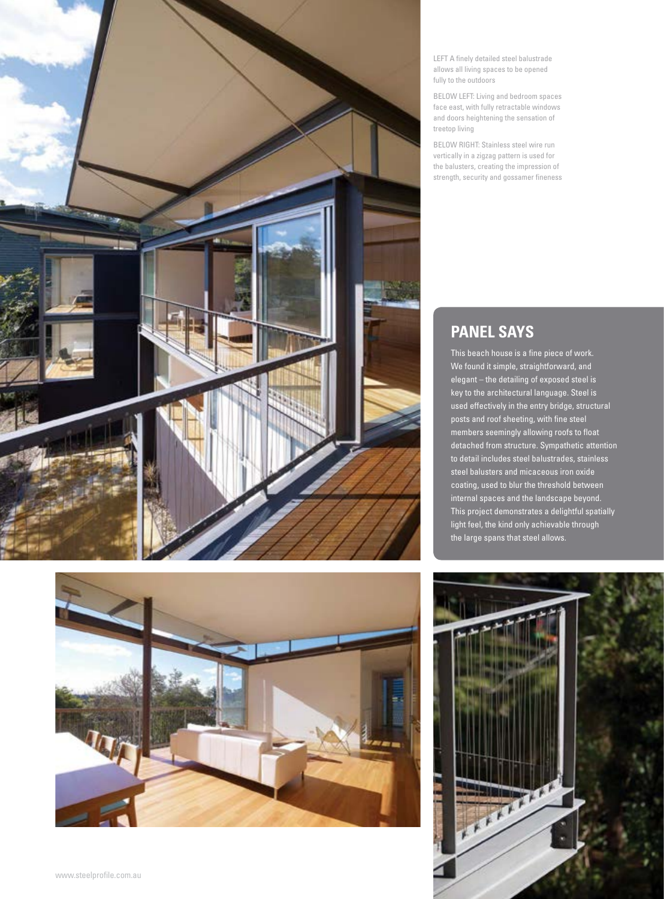

LEFT A finely detailed steel balustrade allows all living spaces to be opened fully to the outdoors

BELOW LEFT: Living and bedroom spaces face east, with fully retractable windows and doors heightening the sensation of treetop living

BELOW RIGHT: Stainless steel wire run vertically in a zigzag pattern is used for the balusters, creating the impression of strength, security and gossamer fineness

## **Panel says**

This beach house is a fine piece of work. We found it simple, straightforward, and elegant – the detailing of exposed steel is key to the architectural language. Steel is used effectively in the entry bridge, structural posts and roof sheeting, with fine steel members seemingly allowing roofs to float detached from structure. Sympathetic attention to detail includes steel balustrades, stainless steel balusters and micaceous iron oxide coating, used to blur the threshold between internal spaces and the landscape beyond. This project demonstrates a delightful spatially light feel, the kind only achievable through the large spans that steel allows.